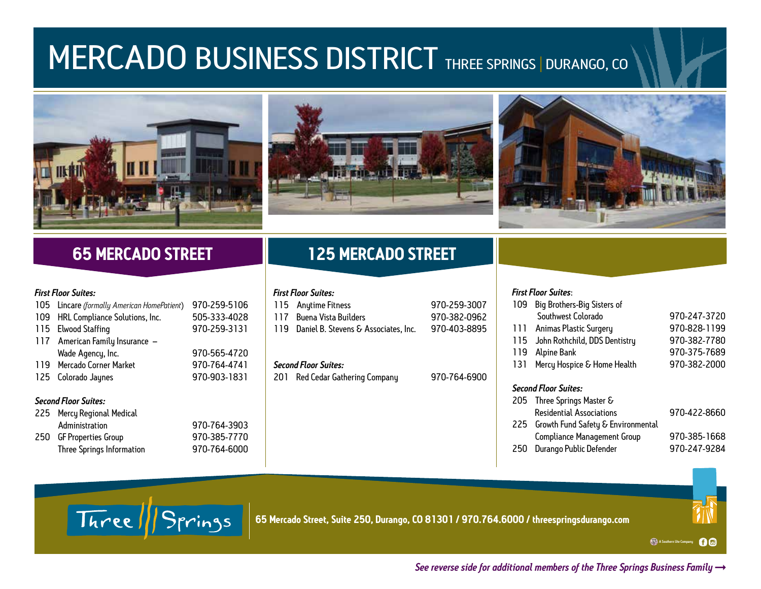# **MERCADO BUSINESS DISTRICT THREE SPRINGS | DURANGO, CO**





## **65 MERCADO STREET**

#### *First Floor Suites:*

|                             | 105 Lincare (formally American HomePatient) | 970-259-5106 |  |  |
|-----------------------------|---------------------------------------------|--------------|--|--|
|                             | 109 HRL Compliance Solutions, Inc.          | 505-333-4028 |  |  |
|                             | 115 Elwood Staffing                         | 970-259-3131 |  |  |
|                             | 117 American Family Insurance -             |              |  |  |
|                             | Wade Agency, Inc.                           | 970-565-4720 |  |  |
|                             | 119 Mercado Corner Market                   | 970-764-4741 |  |  |
|                             | 125 Colorado Jaynes                         | 970-903-1831 |  |  |
| <b>Second Floor Suites:</b> |                                             |              |  |  |
|                             | 225 Mercy Regional Medical                  |              |  |  |

| LLJ FICTULITUQUING PICUICO |              |  |
|----------------------------|--------------|--|
| Administration             | 970-764-3903 |  |
| 250 GF Properties Group    | 970-385-7770 |  |

Three Springs Information

| 970-764-3903<br>970-385-7770 |
|------------------------------|
| 970-764-6000                 |

# **125 MERCADO STREET**

## *First Floor Suites:*

| 115 Anytime Fitness                      | 970-259-3007 |
|------------------------------------------|--------------|
| 117 Buena Vista Builders                 | 970-382-0962 |
| 119 Daniel B. Stevens & Associates. Inc. | 970-403-8895 |

### *Second Floor Suites:*

201 Red Cedar Gathering Company 970-764-6900

### *First Floor Suites*:

|                             | 109 | Big Brothers-Big Sisters of            |              |  |
|-----------------------------|-----|----------------------------------------|--------------|--|
|                             |     | Southwest Colorado                     | 970-247-3720 |  |
|                             | 111 | Animas Plastic Surgery                 | 970-828-1199 |  |
|                             | 115 | John Rothchild, DDS Dentistry          | 970-382-7780 |  |
|                             | 119 | Alpine Bank                            | 970-375-7689 |  |
|                             | 131 | Mercy Hospice & Home Health            | 970-382-2000 |  |
|                             |     |                                        |              |  |
| <b>Second Floor Suites:</b> |     |                                        |              |  |
|                             |     | 205 Three Springs Master &             |              |  |
|                             |     | <b>Residential Associations</b>        | 970-422-8660 |  |
|                             |     | 225 Growth Fund Safety & Environmental |              |  |
|                             |     | <b>Compliance Management Group</b>     | 970-385-1668 |  |
|                             | 250 | Durango Public Defender                | 970-247-9284 |  |



Three ||Springs

**65 Mercado Street, Suite 250, Durango, CO 81301 / 970.764.6000 / threespringsdurango.com**

A Southern Ute Company60